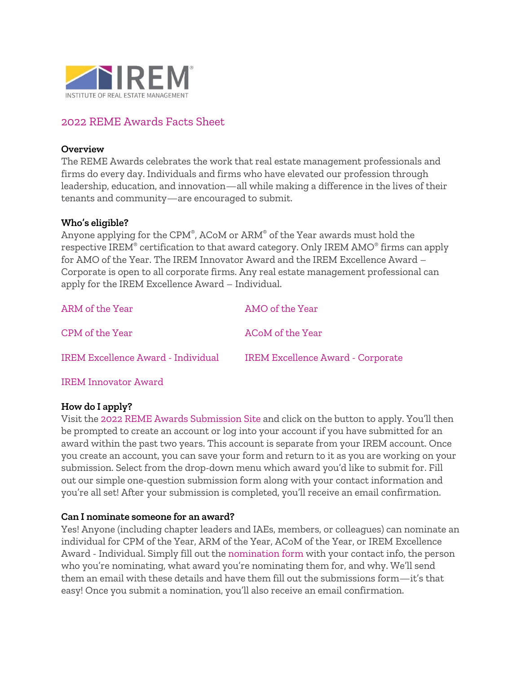

# 2022 REME Awards Facts Sheet

### **Overview**

The REME Awards celebrates the work that real estate management professionals and firms do every day. Individuals and firms who have elevated our profession through leadership, education, and innovation—all while making a difference in the lives of their tenants and community—are encouraged to submit.

### **Who's eligible?**

Anyone applying for the CPM®, ACoM or ARM® of the Year awards must hold the respective IREM® certification to that award category. Only IREM AMO® firms can apply for AMO of the Year. The IREM Innovator Award and the IREM Excellence Award – Corporate is open to all corporate firms. Any real estate management professional can apply for the IREM Excellence Award – Individual.

| ARM of the Year                    | AMO of the Year                          |
|------------------------------------|------------------------------------------|
| CPM of the Year                    | ACoM of the Year                         |
| IREM Excellence Award - Individual | <b>IREM Excellence Award - Corporate</b> |

[IREM Innovator Award](https://www.irem.org/events/reme-awards/innovator-award)

### **How do I apply?**

Visit the [2022 REME Awards Submission Site](https://remeawards.secure-platform.com/a/solicitations/11/home) and click on the button to apply. You'll then be prompted to create an account or log into your account if you have submitted for an award within the past two years. This account is separate from your IREM account. Once you create an account, you can save your form and return to it as you are working on your submission. Select from the drop-down menu which award you'd like to submit for. Fill out our simple one-question submission form along with your contact information and you're all set! After your submission is completed, you'll receive an email confirmation.

### **Can I nominate someone for an award?**

Yes! Anyone (including chapter leaders and IAEs, members, or colleagues) can nominate an individual for CPM of the Year, ARM of the Year, ACoM of the Year, or IREM Excellence Award - Individual. Simply fill out the [nomination form](https://remeawards.secure-platform.com/a/solicitations/12/home) with your contact info, the person who you're nominating, what award you're nominating them for, and why. We'll send them an email with these details and have them fill out the submissions form—it's that easy! Once you submit a nomination, you'll also receive an email confirmation.